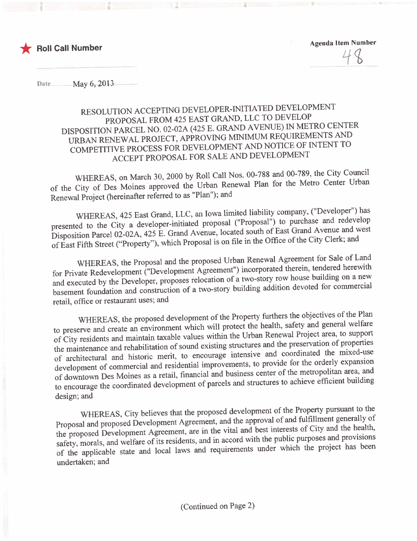

Agenda Item Number  $\frac{1}{1}$ 

Date.............. .....May.6;-.201J.....................

### RESOLUTION ACCEPTING DEVELOPER-INITIATED DEVELOPMENT PROPOSAL FROM 425 EAST GRAND, LLC TO DEVELOP DISPOSITION PARCEL NO. 02-02A (425 E. GRAND AVENUE) IN METRO CENTER URBAN RENEWAL PROJECT, APPROVING MINIMUM REQUIREMENTS AND URBAN RENEWAL PROJECT, APPROVING MINIMUM REQUIREMENTS TO COMPETITIVE PROCESS FOR DEVELOPMENT AND NOTICE OF HISPETITIVE ACCEPT PROPOSAL FOR SALE AND DEVELOPMENT

WHEREAS, on March 30, 2000 by Roll Call Nos. 00-788 and 00-789, the Center Urban of the City of Des Moines approved the Urban Renewal Plan for the Metro Center Center Urban Renewal Plan for the Metro Center Urban Renewal Plan for the Metro Center Urban for the Metro Center Urban for the Metro Center Ur Renewal Project (hereinafter referred to as "Plan"); and

WHEREAS, 425 East Grand, LLC, an Iowa limited liability company, ("Developer") has presented to the City a developer-initiated proposal ("Proposal") to purchase and redevelop Disposition Parcel 02-02A, 425 E. Grand Avenue, located south of East Grand Avenue and west Disposition Parcel 02-02A,  $425$  E. Grand Avenue, located south of East Grand Avenue and  $\frac{1}{2}$ of East Fifth Street ("Property"), which Proposal is on file in the Office of the  $\epsilon$ 

WHEREAS, the Proposal and the proposed Urban Renewal Agreement for Sale of Land<br>for Private Redevelopment ("Development Agreement") incorporated therein, tendered herewith and executed by the Developer, proposes relocation of a two-story row house building on a new and executed by the Developer, proposes relocation of a two-story fow house building of a new story house building of a new story house of the commercial basement foundation and construction of a two-story building addition devoted  $\frac{1}{2}$ retail, office or restaurant uses; and

WHEREAS, the proposed development of the Property furthers the objectives of the Plan<br>to preserve and create an environment which will protect the health, safety and general welfare of City residents and maintain taxable values within the Urban Renewal Project area, to support the maintenance and rehabilitation of sound existing structures and the preservation of properties of architectural and historic merit, to encourage intensive and coordinated the mixed-use development of commercial and residential improvements, to provide for the orderly expansion of downtown Des Moines as a retail, financial and business center of the metropolitan area, and of downtown Des Moines as a retail, financial and business center of the metropolitan building to encourage the coordinated development of parcels and structures to define to effect design; and

WHEREAS, City believes that the proposed development of the Property pursuant to the Proposed and proposed Development Agreement, and the approval of and fulfillment generally of the proposed Development Agreement, are in the vital and best interests of City and the health, safety, morals, and welfare of its residents, and in accord with the public purposes and provisions safety, morals, and welfare of its residents, and in accord with the public purposes  $\frac{1}{2}$  has been of the applicable state and local laws and requirements under which the project that undertaken; and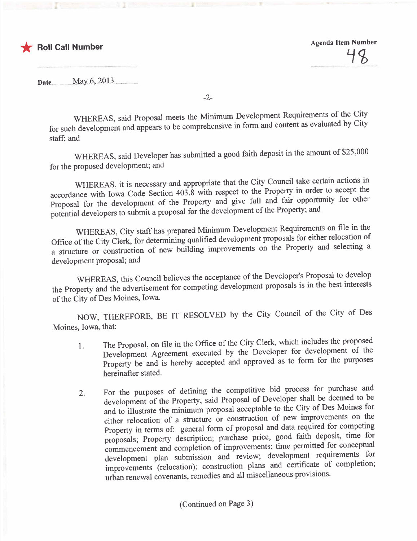

Date........... . ....May...6.,2.O'1.3....... ...... .. .

-2-

WHEREAS, said Proposal meets the Minimum Development Requirements of the City for such development and appears to be comprehensive in form and content as  $\bullet$  cannot by  $\bullet$ staff; and

WHEREAS, said Developer has submitted a good faith deposit in the amount of \$25,000 for the proposed development; and

WHEREAS, it is necessary and appropriate that the City Council take certain actions in accordance with Iowa Code Section 403.8 with respect to the Property in order to accept the Proposal for the development of the Property and give full and fair opportunity for other potential developers to submit a proposal for the development of the Property; and

WHEREAS, City staff has prepared Minimum Development Requirements on file in the Office of the City Clerk, for determining qualified development proposals for either relocation of a structure or construction of new building improvements on the Property and selecting a development proposal; and

WHEREAS, this Council believes the acceptance of the Developer's Proposal to develop the Property and the advertisement for competing development proposals is in the best interests of the City of Des Moines, Iowa.

NOW, THEREFORE, BE IT RESOLVED by the City Council of the City of Des Moines, Iowa, that:

- $1.$  The Proposal, on file in the Office of the City Clerk, which is proposed the proposed of the Development Agreement executed by the Developer for development of the Property be and is hereby accepted and approved as to form for the purposes hereinafter stated.
- 2. For the purposes of defining the competitive bid process for degree and  $\frac{1}{2}$  bid deeped to be development of the Property, said Proposal of Developer shall be deemed to be and to illustrate the minimum proposal acceptable to the City of Des Moines for either relocation of a structure or construction of new improvements on the Property in terms of: general form of proposal and data required for competing proposals; Property description; purchase price, good faith deposit, time for commencement and completion of improvements; time permitted for conceptual development plan submission and review; development requirements for improvements (relocation); construction plans and certificate of completion; urban renewal covenants, remedies and all miscellaneous provisions.

(Continued on Page 3)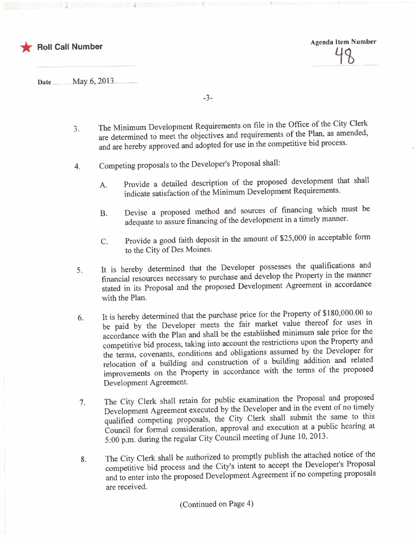

Agenda Item Number  $\overline{10}$ 

Date.... ... ........May..6,..013......................

-3-

- 3. The Minimum Development Requirements on file in the Office of the City Clerk. are determined to meet the objectives and requirements of the Plan, as amended, and are hereby approved and adopted for use in the competitive bid process.
- 4. Competing proposals to the Developer's Proposal shall:
	- A. Provide a detailed description of the proposed development that shall indicate satisfaction of the Minimum Development Requirements.
	- B. Devise a proposed method and sources of financing which must be adequate to assure financing of the development in a timely maner.
	- C. Provide a good faith deposit in the amount of \$25,000 in acceptable form to the City of Des Moines.
- $5.$  It is hereby determined that the Developer possesses the property in the manner financial resources necessary to purchase and develop the Property in the manner stated in its Proposal and the proposed Development Agreement in accordance with the Plan.
- $\frac{6.1}{100}$  it is hereby determined that the purchase price  $\frac{1}{100}$  to  $\frac{1}{100}$  the Property for uses in be paid by the Developer meets the fair market value thereof for uses in accordance with the Plan and shall be the established minimum sale price for the competitive bid process, taking into account the restrictions upon the Property and the terms, covenants, conditions and obligations assumed by the Developer for relocation of a building and construction of a building addition and related relocation of a building and construction of a building and relation  $\frac{1}{2}$ improvements on the Property in accordance with the terms of the proposed Development Agreement.
- $7.$  The City Clerk shall retain for public examination the example  $\frac{1}{2}$  and proposed and proposed and proposed and proposed and proposed and proposed and proposed and proposed and proposed and proposed and proposed Development Agreement executed by the Developer and in the event of no timely qualified competing proposals, the City Clerk shall submit the same to this Council for formal consideration, approval and execution at a public hearing at 5:00 p.m. during the regular City Council meeting of June 10,2013.
- 8. The City Clerk shall be authorized to promptly published notice of the attached notice of the attached notice of the attached notice of the attached notice of the attached notice of the attached notice of the attached n competitive bid process and the City's intent to accept the Developer's Propose and to enter into the proposed Development Agreement if no competing proposals are received.

(Continued on Page 4)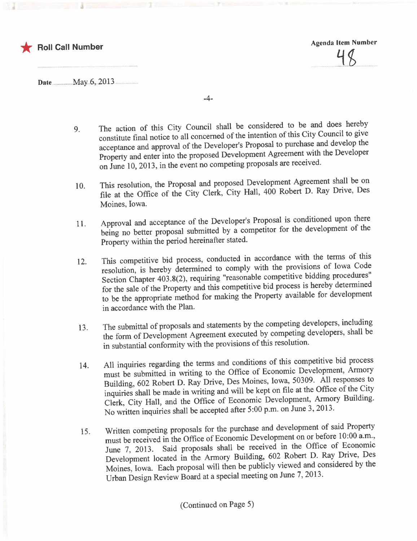



Date............ .......May..6,..013.....................

-4-

- 9. The action of this City Council shall be considered to be council to give constitute final notice to all concerned of the intention of this City Council to give acceptance and approval of the Developer's Proposal to purchase and develop the Property and enter into the proposed Development Agreement with the Developer on June 10,2013, in the event no competing proposals are received.
- 10. This resolution, the Proposal and proposed  $D = 400 \text{ Deheat} \cdot D = 884 \text{ Triv}e = Des$ file at the Office of the City Clerk, City Hall, 400 Robert D. Ray Drive, Des Moines, Iowa.
- 11. Approval and acceptance of the Developer's Proposal is conditioned upon there being no better proposal submitted by a competitor for the development of the Property within the period hereinafter stated.
- $12.$  This competitive bid process, conducted in a calculate meridians of lows  $C_{\text{old}}$ resolution, is hereby determined to comply with the provisions of Iowa Code Section Chapter 403.8(2), requiring "reasonable competitive bidding procedures" for the sale of the Property and this competitive bid process is hereby determined to be the appropriate method for making the Property available for development in accordance with the Plan.
- $13.$  The submittal of proposals and statements by the competing developers, shall be the form of Development Agreement executed by competing developers, shall be in substantial conformity with the provisions of this resolution.
- 14. All inquiries regarding the terms and conditions of the process perchangent. Armory must be submitted in writing to the Office of Economic Development, Armor, Building, 602 Robert D. Ray Drive, Des Moines, Iowa, 50309. All responses to inquiries shall be made in writing and will be kept on file at the Office of the City Clerk, City Hall, and the Office of Economic Development, Armory Building. No written inquiries shall be accepted after 5:00 p.m. on June 3, 2013.
- 15. Written competing proposals for the purchase and development on or before  $10:00$  a.m.,<br>must be received in the Office of Economic Development on or before 10:00 a.m., June 7, 2013. Said proposals shall be received in the Office of Economic Development located in the Armory Building, 602 Robert D. Ray Drive, Des Moines, Iowa. Each proposal will then be publicly viewed and considered by the Urban Design Review Board at a special meeting on June 7, 2013.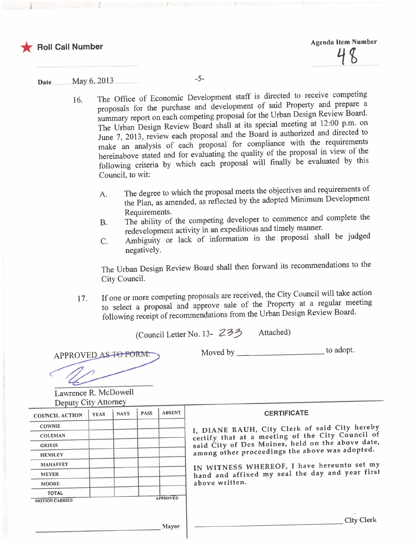

## Date............. ... .May..6,..0.l3.. -5-

- 16. The Office of Economic Development staff is directed to receive competing proposals for the purchase and development of said Property and prepare a proposals for the purchase and development of said inoperty and propare a summary report on each competing proposal for the Orban Design Review Board. The Urban Design Review Board shall at its special incerng at 12:00 p.m. on June  $7, 2013$ , review each proposal and the Board is authorized and directed to make an analysis of each proposal for  $\frac{1}{2}$  the  $\frac{1}{2}$  the representing with the region of the hereinabove stated and for evaluating the quality of the proposal in view of the following criteria by which each proposal will finally be evaluated by this Council, to wit:
	- A. The degree to which the proposal meets the objectives and requirements of the Plan, as amended, as reflected by the adopted Minimum Development Requirements.
	- $B.$  The ability of the completing developer to complete the complete the complete the complete the complete the complete the complete the complete the complete the complete the complete the complete the complete the comp redevelopment activity in an expeditious and timely maner.
	- C. Ambiguity or lack of information in the proposal shall be judged negatively.

The Urban Design Review Board shall then forward its recommendations to the City CounciL.

17. If one or more competing proposals are received, the City Council will take action<br>to select a proposal and approve sale of the Property at a regular meeting to select a proposal and approve sale of the Property Board following receipt of recommendations from the Urban Design Review Board.

(Council Letter No. 13- 23? Attached)

APPROVED AS TO FORM:

Moved by to adopt.

Lawrence R. McDowell<br>Deputy City Attorney

| <b>COUNCIL ACTION</b> | <b>YEAS</b> | <b>NAYS</b> | <b>PASS</b> | <b>ABSENT</b>               | <b>CERTIFICATE</b>                                                                                 |  |  |
|-----------------------|-------------|-------------|-------------|-----------------------------|----------------------------------------------------------------------------------------------------|--|--|
| <b>COWNIE</b>         |             |             |             | I, DIANE RAUH, City Clerk o |                                                                                                    |  |  |
| <b>COLEMAN</b>        |             |             |             |                             | certify that at a meeting of tl<br>said City of Des Moines, held<br>among other proceedings the al |  |  |
| <b>GRIESS</b>         |             |             |             |                             |                                                                                                    |  |  |
| <b>HENSLEY</b>        |             |             |             |                             |                                                                                                    |  |  |
| <b>MAHAFFEY</b>       |             |             |             | IN WITNESS WHEREOF, I hav   |                                                                                                    |  |  |
| <b>MEYER</b>          |             |             |             |                             | hand and affixed my seal the                                                                       |  |  |
| <b>MOORE</b>          |             |             |             |                             | above written.                                                                                     |  |  |
| <b>TOTAL</b>          |             |             |             |                             |                                                                                                    |  |  |
| <b>MOTION CARRIED</b> |             |             |             | <b>APPROVED</b>             |                                                                                                    |  |  |

I, DIANE RAUH, City Clerk of said City hereby certify that at a meeting of the City Council <sup>of</sup> said City of Des Moines, held on the above date, among other proceedings the above was adopted.

IN WITNESS WHEREOF, I have hereunto set my hand and affixed my seal the day and year first above written.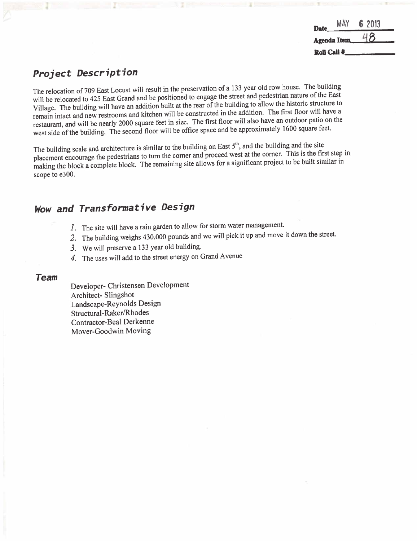#### Date MAY Agenda Item Roll Call # 6 2013 <u>48</u>

## Project Description

The relocation of 709 East Locust will result in the preservation of a 133 year old row house. The first of the East Village. The building will have an addition built at the rear of the building to allow the historic structure to remain intact and new restrooms and kitchen will be constructed in the addition. The first floor will have a restaurant, and will be nearly 2000 square feet in size. The first floor will also have an outdoor patio on the restaurant, and will be nearly 2000 square feet in size. The first floor will also have and the annoymetely 1600 square feet west side of the building. The second floor will be office space and be approximately 1600 square feet.

The building scale and architecture is similar to the building on East  $5<sup>th</sup>$ , and the building and the site placement encourage the pedestrians to turn the corner and proceed west at the corner. This is the first ste placement encourage the pedestrians to turn the corner and proceed west at the correct to be hull similar in making the block a complete block. The remaining site allows for a significant project to be built similar scope to e300.

# Wow and Transformative Design

- 1. The site will have a rain garden to allow for storm water management.
- 2. The building weighs 430,000 pounds and we will pick it up and move it down the street.
- 3. We will preserve a 133 year old building.
- 4. The uses will add to the street energy on Grand Avenue

#### Team

Developer- Christensen Development Architect- Slingshot Landscape-Reynolds Design Structural-Raker/Rhodes Contractor- Beal Derkenne Mover-Goodwin Moving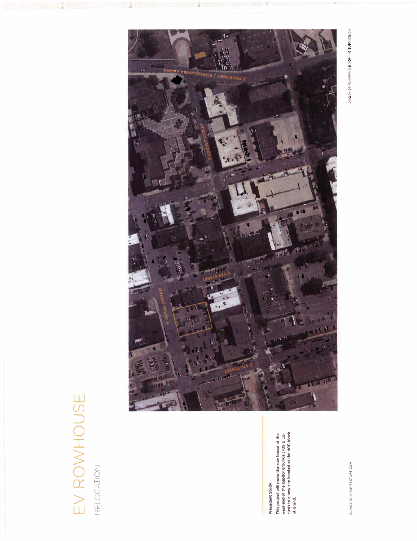# EV ROWHOUSE EV ROWHOUSE

RELOCATION

# **Precedent Study** Precedent Study

This project will move the row house at the west end of the capitol grounds (709 E Locust) to a new site located at the 400 block This project will move the row house at the<br>west end of the capitol grounds (709 E Lo-<br>cust) to a new site located at the 400 block<br>of Grand.

SLINGSHOTARCHITECTURE COM



2013.04.29 PLANNNG & ZONING SUBMISSION SLOUT DE CONTRALE ARCHIDE ARCHIDE ARCHIDE . ON DE COINNING SUBFLING SUBFLING SUBFLING SUBFLING SUBFLING SUBFLI<br>SUBFLING SUBFLING SUBFLING SUBFLING SUBFLING SUBFLING SUBFLING SUBFLING SUBFLING SUBFLING SUBFLING SUBFLING SU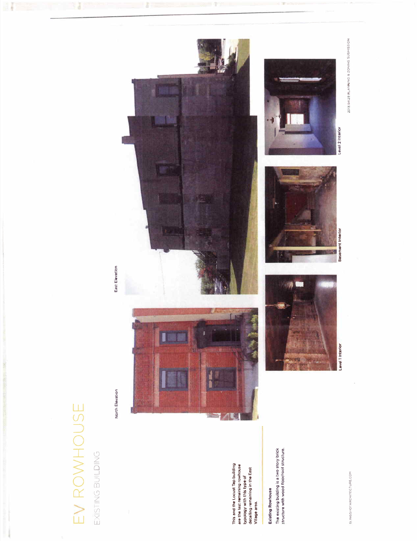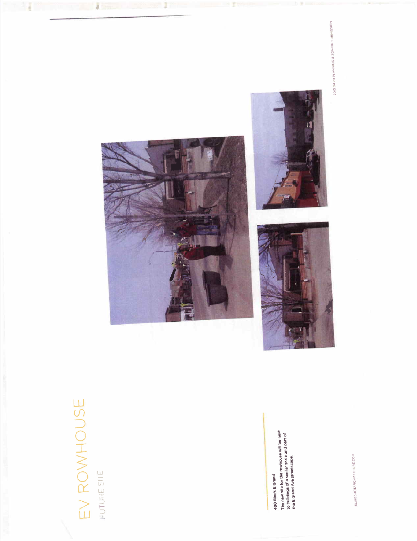

# 400 Block E Grand 400 Block E Grand

house will be next to buildings of a similar scale and part the E grand Ave streetscape. The new site for the row









2013 04 29 PLANNING & ZONING SUBMISSION 2013 04 29 PLANNING & CONINY